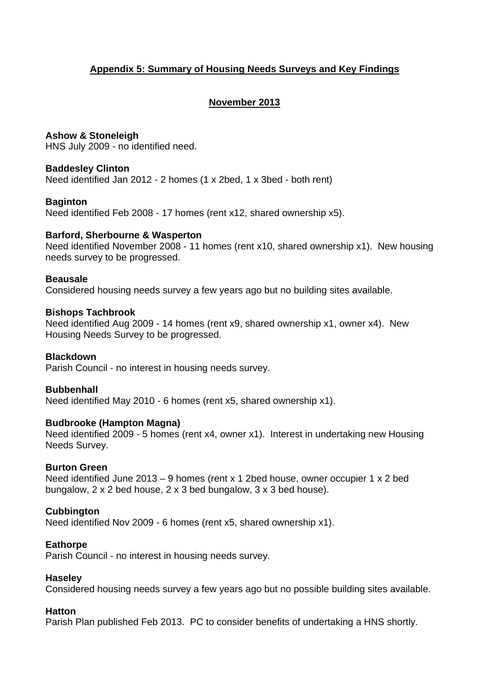# **Appendix 5: Summary of Housing Needs Surveys and Key Findings**

# **November 2013**

## **Ashow & Stoneleigh**

HNS July 2009 - no identified need.

## **Baddesley Clinton**

Need identified Jan 2012 - 2 homes (1 x 2bed, 1 x 3bed - both rent)

## **Baginton**

Need identified Feb 2008 - 17 homes (rent x12, shared ownership x5).

## **Barford, Sherbourne & Wasperton**

Need identified November 2008 - 11 homes (rent x10, shared ownership x1). New housing needs survey to be progressed.

## **Beausale**

Considered housing needs survey a few years ago but no building sites available.

## **Bishops Tachbrook**

Need identified Aug 2009 - 14 homes (rent x9, shared ownership x1, owner x4). New Housing Needs Survey to be progressed.

## **Blackdown**

Parish Council - no interest in housing needs survey.

#### **Bubbenhall**

Need identified May 2010 - 6 homes (rent x5, shared ownership x1).

## **Budbrooke (Hampton Magna)**

Need identified 2009 - 5 homes (rent x4, owner x1). Interest in undertaking new Housing Needs Survey.

#### **Burton Green**

Need identified June 2013 – 9 homes (rent x 1 2bed house, owner occupier 1 x 2 bed bungalow, 2 x 2 bed house, 2 x 3 bed bungalow, 3 x 3 bed house).

## **Cubbington**

Need identified Nov 2009 - 6 homes (rent x5, shared ownership x1).

#### **Eathorpe**

Parish Council - no interest in housing needs survey.

#### **Haseley**

Considered housing needs survey a few years ago but no possible building sites available.

#### **Hatton**

Parish Plan published Feb 2013. PC to consider benefits of undertaking a HNS shortly.